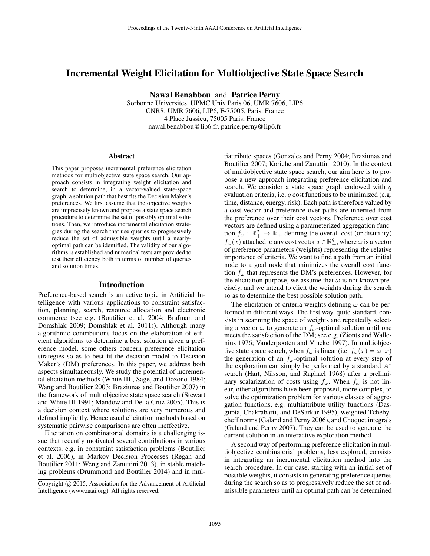## Incremental Weight Elicitation for Multiobjective State Space Search

Nawal Benabbou and Patrice Perny

Sorbonne Universites, UPMC Univ Paris 06, UMR 7606, LIP6 CNRS, UMR 7606, LIP6, F-75005, Paris, France 4 Place Jussieu, 75005 Paris, France nawal.benabbou@lip6.fr, patrice.perny@lip6.fr

#### **Abstract**

This paper proposes incremental preference elicitation methods for multiobjective state space search. Our approach consists in integrating weight elicitation and search to determine, in a vector-valued state-space graph, a solution path that best fits the Decision Maker's preferences. We first assume that the objective weights are imprecisely known and propose a state space search procedure to determine the set of possibly optimal solutions. Then, we introduce incremental elicitation strategies during the search that use queries to progressively reduce the set of admissible weights until a nearlyoptimal path can be identified. The validity of our algorithms is established and numerical tests are provided to test their efficiency both in terms of number of queries and solution times.

#### Introduction

Preference-based search is an active topic in Artificial Intelligence with various applications to constraint satisfaction, planning, search, resource allocation and electronic commerce (see e.g. (Boutilier et al. 2004; Brafman and Domshlak 2009; Domshlak et al. 2011)). Although many algorithmic contributions focus on the elaboration of efficient algorithms to determine a best solution given a preference model, some others concern preference elicitation strategies so as to best fit the decision model to Decision Maker's (DM) preferences. In this paper, we address both aspects simultaneously. We study the potential of incremental elicitation methods (White III , Sage, and Dozono 1984; Wang and Boutilier 2003; Braziunas and Boutilier 2007) in the framework of multiobjective state space search (Stewart and White III 1991; Mandow and De la Cruz 2005). This is a decision context where solutions are very numerous and defined implicitly. Hence usual elicitation methods based on systematic pairwise comparisons are often ineffective.

Elicitation on combinatorial domains is a challenging issue that recently motivated several contributions in various contexts, e.g. in constraint satisfaction problems (Boutilier et al. 2006), in Markov Decision Processes (Regan and Boutilier 2011; Weng and Zanuttini 2013), in stable matching problems (Drummond and Boutilier 2014) and in mul-

tiattribute spaces (Gonzales and Perny 2004; Braziunas and Boutilier 2007; Koriche and Zanuttini 2010). In the context of multiobjective state space search, our aim here is to propose a new approach integrating preference elicitation and search. We consider a state space graph endowed with  $q$ evaluation criteria, i.e.  $q$  cost functions to be minimized (e.g. time, distance, energy, risk). Each path is therefore valued by a cost vector and preference over paths are inherited from the preference over their cost vectors. Preference over cost vectors are defined using a parameterized aggregation function  $f_{\omega}: \mathbb{R}^q_+ \to \mathbb{R}_+$  defining the overall cost (or disutility)  $f_{\omega}(x)$  attached to any cost vector  $x \in \mathbb{R}^q_+$ , where  $\omega$  is a vector of preference parameters (weights) representing the relative importance of criteria. We want to find a path from an initial node to a goal node that minimizes the overall cost function  $f_{\omega}$  that represents the DM's preferences. However, for the elicitation purpose, we assume that  $\omega$  is not known precisely, and we intend to elicit the weights during the search so as to determine the best possible solution path.

The elicitation of criteria weights defining  $\omega$  can be performed in different ways. The first way, quite standard, consists in scanning the space of weights and repeatedly selecting a vector  $\omega$  to generate an  $f_{\omega}$ -optimal solution until one meets the satisfaction of the DM; see e.g. (Zionts and Wallenius 1976; Vanderpooten and Vincke 1997). In multiobjective state space search, when  $f_{\omega}$  is linear (i.e.  $f_{\omega}(x) = \omega \cdot x$ ) the generation of an  $f_{\omega}$ -optimal solution at every step of the exploration can simply be performed by a standard  $A^*$ search (Hart, Nilsson, and Raphael 1968) after a preliminary scalarization of costs using  $f_{\omega}$ . When  $f_{\omega}$  is not linear, other algorithms have been proposed, more complex, to solve the optimization problem for various classes of aggregation functions, e.g. multiattribute utility functions (Dasgupta, Chakrabarti, and DeSarkar 1995), weighted Tchebycheff norms (Galand and Perny 2006), and Choquet integrals (Galand and Perny 2007). They can be used to generate the current solution in an interactive exploration method.

A second way of performing preference elicitation in multiobjective combinatorial problems, less explored, consists in integrating an incremental elicitation method into the search procedure. In our case, starting with an initial set of possible weights, it consists in generating preference queries during the search so as to progressively reduce the set of admissible parameters until an optimal path can be determined

Copyright © 2015, Association for the Advancement of Artificial Intelligence (www.aaai.org). All rights reserved.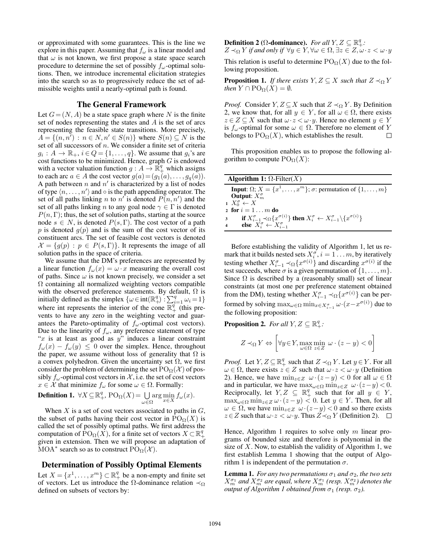or approximated with some guarantees. This is the line we explore in this paper. Assuming that  $f_{\omega}$  is a linear model and that  $\omega$  is not known, we first propose a state space search procedure to determine the set of possibly  $f_{\omega}$ -optimal solutions. Then, we introduce incremental elicitation strategies into the search so as to progressively reduce the set of admissible weights until a nearly-optimal path is found.

#### The General Framework

Let  $G = (N, A)$  be a state space graph where N is the finite set of nodes representing the states and A is the set of arcs representing the feasible state transitions. More precisely,  $A = \{(n, n^{\prime}) : n \in N, n' \in S(n)\}$  where  $S(n) \subseteq N$  is the set of all successors of  $n$ . We consider a finite set of criteria  $g_i: A \to \mathbb{R}_+, i \in Q = \{1, \ldots, q\}.$  We assume that  $g_i$ 's are cost functions to be minimized. Hence, graph  $G$  is endowed with a vector valuation function  $g : A \to \mathbb{R}^q_+$  which assigns to each arc  $a \in A$  the cost vector  $g(a) = (g_1(a), \ldots, g_q(a)).$ A path between  $n$  and  $n'$  is characterized by a list of nodes of type  $\langle n, \ldots, n' \rangle$  and  $\circ$  is the path appending operator. The set of all paths linking *n* to  $n'$  is denoted  $P(n, n')$  and the set of all paths linking n to any goal node  $\gamma \in \Gamma$  is denoted  $P(n, \Gamma)$ ; thus, the set of solution paths, starting at the source node  $s \in N$ , is denoted  $P(s, \Gamma)$ . The cost vector of a path p is denoted  $g(p)$  and is the sum of the cost vector of its constituent arcs. The set of feasible cost vectors is denoted  $\mathcal{X} = \{g(p) : p \in P(s, \Gamma) \}$ . It represents the image of all solution paths in the space of criteria.

We assume that the DM's preferences are represented by a linear function  $f_{\omega}(x) = \omega \cdot x$  measuring the overall cost of paths. Since  $\omega$  is not known precisely, we consider a set  $\Omega$  containing all normalized weighting vectors compatible with the observed preference statements. By default,  $\Omega$  is initially defined as the simplex  $\{\omega \in \text{int}(\mathbb{R}^q_+) : \sum_{i=1}^q \omega_i = 1\}$ where int represents the interior of the cone  $\overline{\mathbb{R}^q_+}$  (this prevents to have any zero in the weighting vector and guarantees the Pareto-optimality of  $f_{\omega}$ -optimal cost vectors). Due to the linearity of  $f_{\omega}$ , any preference statement of type " $x$  is at least as good as  $y$ " induces a linear constraint  $f_{\omega}(x) - f_{\omega}(y) \leq 0$  over the simplex. Hence, throughout the paper, we assume without loss of generality that  $\Omega$  is a convex polyhedron. Given the uncertainty set  $\Omega$ , we first consider the problem of determining the set  $PO_{\Omega}(\mathcal{X})$  of possibly  $f_{\omega}$ -optimal cost vectors in X, i.e. the set of cost vectors  $x \in \mathcal{X}$  that minimize  $f_{\omega}$  for some  $\omega \in \Omega$ . Formally:

**Definition 1.** 
$$
\forall X \subseteq \mathbb{R}^q_+
$$
,  $PO_{\Omega}(X) = \bigcup_{\omega \in \Omega} \arg \min_{x \in X} f_{\omega}(x)$ .

When  $X$  is a set of cost vectors associated to paths in  $G$ , the subset of paths having their cost vector in  $PO_{\Omega}(X)$  is called the set of possibly optimal paths. We first address the computation of  $\text{PO}_{\Omega}(X)$ , for a finite set of vectors  $X \subset \mathbb{R}^q_+$ given in extension. Then we will propose an adaptation of MOA<sup>\*</sup> search so as to construct  $\mathrm{PO}_{\Omega}(\mathcal{X})$ .

## Determination of Possibly Optimal Elements

Let  $X = \{x^1, \dots, x^m\} \subset \mathbb{R}_+^q$  be a non-empty and finite set of vectors. Let us introduce the  $\Omega$ -dominance relation  $\prec_{\Omega}$ defined on subsets of vectors by:

**Definition 2** ( $\Omega$ -dominance). *For all*  $Y, Z \subseteq \mathbb{R}^q_+$ :

 $Z \prec_{\Omega} Y$  *if and only if*  $\forall y \in Y, \forall \omega \in \Omega, \exists z \in Z, \omega \cdot z < \omega \cdot y$ This relation is useful to determine  $PO_{\Omega}(X)$  due to the following proposition.

**Proposition 1.** *If there exists*  $Y, Z \subseteq X$  *such that*  $Z \prec_{\Omega} Y$ *then*  $Y \cap \mathrm{PO}_{\Omega}(X) = \emptyset$ *.* 

*Proof.* Consider  $Y, Z \subseteq X$  such that  $Z \prec_{\Omega} Y$ . By Definition 2, we know that, for all  $y \in Y$ , for all  $\omega \in \Omega$ , there exists  $z \in Z \subseteq X$  such that  $\omega \cdot z < \omega \cdot y$ . Hence no element  $y \in Y$ is  $f_{\omega}$ -optimal for some  $\omega \in \Omega$ . Therefore no element of Y belongs to  $PO_{\Omega}(X)$ , which establishes the result.  $\Box$ 

This proposition enables us to propose the following algorithm to compute  $PO_{\Omega}(X)$ :

| Algorithm 1: $\Omega$ -Filter(X) |                                                                                                                                      |  |  |  |  |  |
|----------------------------------|--------------------------------------------------------------------------------------------------------------------------------------|--|--|--|--|--|
|                                  | <b>Input:</b> $\Omega$ ; $X = \{x^1, \ldots, x^m\}$ ; $\sigma$ : permutation of $\{1, \ldots, m\}$                                   |  |  |  |  |  |
|                                  | Output: $X_m^{\sigma}$                                                                                                               |  |  |  |  |  |
|                                  | $X_0^{\sigma} \leftarrow X$                                                                                                          |  |  |  |  |  |
|                                  | 2 for $i = 1 \ldots m$ do                                                                                                            |  |  |  |  |  |
|                                  | 3 if $X_{i-1}^{\sigma} \prec_{\Omega} \{x^{\sigma(i)}\}$ then $X_i^{\sigma} \leftarrow X_{i-1}^{\sigma} \setminus \{x^{\sigma(i)}\}$ |  |  |  |  |  |
|                                  | 4 else $X_i^{\sigma} \leftarrow X_{i-1}^{\sigma}$                                                                                    |  |  |  |  |  |

Before establishing the validity of Algorithm 1, let us remark that it builds nested sets  $X_i^{\sigma}$ ,  $i = 1...m$ , by iteratively testing whether  $X_{i-1}^{\sigma} \prec_{\Omega} \{x^{\sigma(i)}\}$  and discarding  $x^{\sigma(i)}$  if the test succeeds, where  $\sigma$  is a given permutation of  $\{1, \ldots, m\}$ . Since  $\Omega$  is described by a (reasonably small) set of linear constraints (at most one per preference statement obtained from the DM), testing whether  $X_{i-1}^{\sigma} \prec_{\Omega} \{x^{\sigma(i)}\}$  can be performed by solving  $\max_{\omega \in \Omega} \min_{x \in X_{i-1}^{\sigma}} \omega \cdot (x - x^{\sigma(i)})$  due to the following proposition:

**Proposition 2.** For all  $Y, Z \subseteq \mathbb{R}^q_+$ :

$$
Z \prec_{\Omega} Y \Leftrightarrow \left[ \forall y \in Y, \max_{\omega \in \Omega} \min_{z \in Z} \omega \cdot (z - y) < 0 \right]
$$

*Proof.* Let  $Y, Z \subseteq \mathbb{R}_+^q$  such that  $Z \prec_{\Omega} Y$ . Let  $y \in Y$ . For all  $\omega \in \Omega$ , there exists  $z \in Z$  such that  $\omega \cdot z < \omega \cdot y$  (Definition 2). Hence, we have  $\min_{z \in Z} \omega \cdot (z - y) < 0$  for all  $\omega \in \Omega$ and in particular, we have  $\max_{\omega \in \Omega} \min_{z \in Z} \omega \cdot (z - y) < 0$ . Reciprocally, let  $Y, Z \subseteq \mathbb{R}^q_+$  such that for all  $y \in Y$ ,  $\max_{\omega \in \Omega} \min_{z \in Z} \omega \cdot (z - y) < 0$ . Let  $y \in Y$ . Then, for all  $\omega \in \Omega$ , we have  $\min_{z \in Z} \omega (z-y) < 0$  and so there exists  $z \in Z$  such that  $\omega \cdot z < \omega \cdot y$ . Thus  $Z \prec_{\Omega} Y$  (Definition 2).  $\Box$ 

Hence, Algorithm 1 requires to solve only  $m$  linear programs of bounded size and therefore is polynomial in the size of  $X$ . Now, to establish the validity of Algorithm 1, we first establish Lemma 1 showing that the output of Algorithm 1 is independent of the permutation  $\sigma$ .

**Lemma 1.** *For any two permutations*  $\sigma_1$  *and*  $\sigma_2$ *, the two sets*  $X_{m}^{\sigma_1}$  and  $X_{m}^{\sigma_2}$  are equal, where  $X_{m}^{\sigma_1}$  (resp.  $X_{m}^{\sigma_2}$ ) denotes the *output of Algorithm 1 obtained from*  $\sigma_1$  (*resp.*  $\sigma_2$ *).*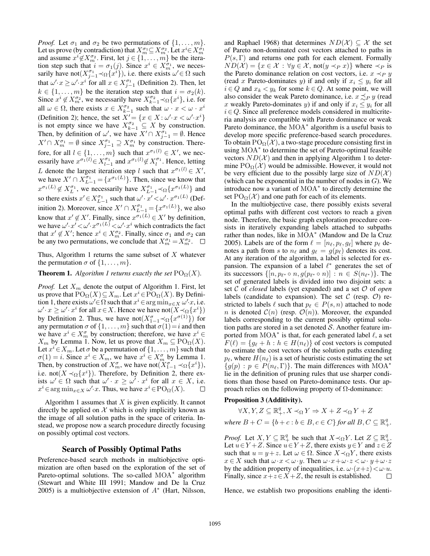*Proof.* Let  $\sigma_1$  and  $\sigma_2$  be two permutations of  $\{1, \ldots, m\}$ . Let us prove (by contradiction) that  $X_{m}^{\sigma_1} \subseteq X_{m}^{\sigma_2}$ . Let  $x^i \in X_{m}^{\sigma_1}$ and assume  $x^i \notin X_m^{\sigma_2}$ . First, let  $j \in \{1, \ldots, m\}$  be the iteration step such that  $i = \sigma_1(j)$ . Since  $x^i \in X_m^{\sigma_1}$ , we necessarily have not $(X_{j-1}^{\sigma_1} \prec_{\Omega} \{x^{i}\})$ , i.e. there exists  $\omega' \in \Omega$  such that  $\omega' \cdot x \geq \omega' \cdot x^i$  for all  $x \in X^{\sigma_1}_{j-1}$  (Definition 2). Then, let  $k \in \{1, \ldots, m\}$  be the iteration step such that  $i = \sigma_2(k)$ . Since  $x^i \notin X_{m}^{\sigma_2}$ , we necessarily have  $X_{k-1}^{\sigma_2} \prec_{\Omega} \{x^i\}$ , i.e. for all  $\omega \in \Omega$ , there exists  $x \in X_{k-1}^{\sigma_2}$  such that  $\omega \cdot x < \omega \cdot x^i$ (Definition 2); hence, the set  $X' = \{x \in X : \omega' \cdot x < \omega' \cdot x^i\}$ is not empty since we have  $X_{k-1}^{\sigma_2} \subseteq X$  by construction. Then, by definition of  $\omega'$ , we have  $X' \cap X_{j-1}^{\sigma_1} = \emptyset$ . Hence  $X' \cap X_{m}^{\sigma_1} = \emptyset$  since  $X_{j-1}^{\sigma_1} \supseteq X_{m}^{\sigma_1}$  by construction. Therefore, for all  $l \in \{1, \ldots, m\}$  such that  $x^{\sigma_1(l)} \in X'$ , we necessarily have  $x^{\sigma_1(l)} \in X_{l-1}^{\sigma_1}$  and  $x^{\sigma_1(l)} \notin X_l^{\sigma_1}$ . Hence, letting L denote the largest iteration step l such that  $x^{\sigma_1(l)} \in X'$ , we have  $X' \cap X_{L-1}^{\sigma_1} = \{x^{\sigma_1(L)}\}$ . Then, since we know that  $x^{\sigma_1(L)} \notin X_L^{\sigma_1}$ , we necessarily have  $X_{L-1}^{\sigma_1} \prec_{\Omega} \{x^{\sigma_1(L)}\}$  and so there exists  $x' \in X^{\sigma_1}_{L-1}$  such that  $\omega' \cdot x' \lt \omega' \cdot x^{\sigma_1(L)}$  (Definition 2). Moreover, since  $X' \cap X_{L-1}^{\sigma_1} = \{x^{\sigma_1(L)}\}$ , we also know that  $x' \notin X'$ . Finally, since  $x^{\sigma_1(L)} \in X'$  by definition, we have  $\omega' \cdot x' \lt \omega' \cdot x^{\sigma_1(L)} \lt \omega' \cdot x^i$  which contradicts the fact that  $x' \notin X'$ ; hence  $x^i \in X_m^{\sigma_2}$ . Finally, since  $\sigma_1$  and  $\sigma_2$  can be any two permutations, we conclude that  $X_{m}^{\sigma_1} = X_{m}^{\sigma_2}$ .  $\Box$ 

Thus, Algorithm 1 returns the same subset of  $X$  whatever the permutation  $\sigma$  of  $\{1, \ldots, m\}$ .

#### **Theorem 1.** *Algorithm 1 returns exactly the set*  $PO_{\Omega}(X)$ *.*

*Proof.* Let  $X_m$  denote the output of Algorithm 1. First, let us prove that  $PO_{\Omega}(X) \subseteq X_m$ . Let  $x^i \in PO_{\Omega}(X)$ . By Definition 1, there exists  $\omega' \in \Omega$  such that  $x^i \in \arg \min_{x \in X} \omega' \cdot x$ , i.e.  $\omega' \cdot x \geq \omega' \cdot x^i$  for all  $x \in X$ . Hence we have not $(X \prec_{\Omega} \{x^i\})$ by Definition 2. Thus, we have not $(X_{1-1}^{\sigma} \prec_{\Omega} \{x^{\sigma(1)}\})$  for any permutation  $\sigma$  of  $\{1, \ldots, m\}$  such that  $\sigma(1) = i$  and then we have  $x^i \in X_m^{\sigma}$  by construction; therefore, we have  $x^i \in$  $X_m$  by Lemma 1. Now, let us prove that  $X_m \subseteq \text{PO}_{\Omega}(X)$ . Let  $x^i \in X_m$ . Let  $\sigma$  be a permutation of  $\{1, \ldots, m\}$  such that  $\sigma(1) = i$ . Since  $x^i \in \overline{X}_m$ , we have  $x^i \in \overline{X}_m^{\sigma}$  by Lemma 1. Then, by construction of  $X_m^{\sigma}$ , we have not $(X_{1-1}^{\sigma} \prec_{\Omega} \{x^i\}),$ i.e. not( $X \prec_{\Omega} \{x^i\}$ ). Therefore, by Definition 2, there exists  $\omega' \in \Omega$  such that  $\omega' \cdot x \geq \omega' \cdot x^i$  for all  $x \in X$ , i.e.  $x^i \in \arg \min_{x \in X} \omega' \cdot x$ . Thus, we have  $x^i \in \text{PO}_{\Omega}(X)$ .

Algorithm 1 assumes that  $X$  is given explicitly. It cannot directly be applied on  $X$  which is only implicitly known as the image of all solution paths in the space of criteria. Instead, we propose now a search procedure directly focusing on possibly optimal cost vectors.

## Search of Possibly Optimal Paths

Preference-based search methods in multiobjective optimization are often based on the exploration of the set of Pareto-optimal solutions. The so-called MOA<sup>\*</sup> algorithm (Stewart and White III 1991; Mandow and De la Cruz 2005) is a multiobjective extension of  $A^*$  (Hart, Nilsson,

and Raphael 1968) that determines  $ND(\mathcal{X}) \subseteq \mathcal{X}$  the set of Pareto non-dominated cost vectors attached to paths in  $P(s, \Gamma)$  and returns one path for each element. Formally  $ND(\mathcal{X}) = \{x \in \mathcal{X} : \forall y \in \mathcal{X}, \text{not}(y \prec_P x)\}\$  where  $\prec_P$  is the Pareto dominance relation on cost vectors, i.e.  $x \prec_P y$ (read x Pareto-dominates y) if and only if  $x_i \leq y_i$  for all  $i \in Q$  and  $x_k < y_k$  for some  $k \in Q$ . At some point, we will also consider the weak Pareto dominance, i.e.  $x \preceq_P y$  (read x weakly Pareto-dominates y) if and only if  $x_i \leq y_i$  for all  $i \in Q$ . Since all preference models considered in multicriteria analysis are compatible with Pareto dominance or weak Pareto dominance, the MOA<sup>\*</sup> algorithm is a useful basis to develop more specific preference-based search procedures. To obtain  $PO_{\Omega}(\mathcal{X})$ , a two-stage procedure consisting first in using MOA<sup>∗</sup> to determine the set of Pareto-optimal feasible vectors  $ND(X)$  and then in applying Algorithm 1 to determine  $PO_{\Omega}(\mathcal{X})$  would be admissible. However, it would not be very efficient due to the possibly large size of  $ND(X)$ (which can be exponential in the number of nodes in  $G$ ). We introduce now a variant of MOA<sup>∗</sup> to directly determine the set  $PO_{\Omega}(\mathcal{X})$  and one path for each of its elements.

In the multiobjective case, there possibly exists several optimal paths with different cost vectors to reach a given node. Therefore, the basic graph exploration procedure consists in iteratively expanding labels attached to subpaths rather than nodes, like in MOA<sup>\*</sup> (Mandow and De la Cruz 2005). Labels are of the form  $\ell = [n_{\ell}, p_{\ell}, g_{\ell}]$  where  $p_{\ell}$  denotes a path from s to  $n_\ell$  and  $g_\ell = g(p_\ell)$  denotes its cost. At any iteration of the algorithm, a label is selected for expansion. The expansion of a label  $\ell^*$  generates the set of its successors  $\{[n, p_{\ell^*} \circ n, g(p_{\ell^*} \circ n)] : n \in S(n_{\ell^*})\}$ . The set of generated labels is divided into two disjoint sets: a set C of *closed* labels (yet expanded) and a set O of *open* labels (candidate to expansion). The set  $\mathcal C$  (resp.  $\mathcal O$ ) restricted to labels  $\ell$  such that  $p_\ell \in P(s, n)$  attached to node n is denoted  $\mathcal{C}(n)$  (resp.  $\mathcal{O}(n)$ ). Moreover, the expanded labels corresponding to the current possibly optimal solution paths are stored in a set denoted  $S$ . Another feature imported from  $\text{MOA}^*$  is that, for each generated label  $\ell$ , a set  $F(\ell) = {g_{\ell} + h : h \in H(n_{\ell})}$  of cost vectors is computed to estimate the cost vectors of the solution paths extending  $p_\ell$ , where  $H(n_\ell)$  is a set of heuristic costs estimating the set  ${g(p) : p \in P(n_\ell, \Gamma)}$ . The main differences with MOA<sup>\*</sup> lie in the definition of pruning rules that use sharper conditions than those based on Pareto-dominance tests. Our approach relies on the following property of Ω-dominance:

#### Proposition 3 (Additivity).

$$
\forall X, Y, Z \subseteq \mathbb{R}_+^q, X \prec_{\Omega} Y \Rightarrow X + Z \prec_{\Omega} Y + Z
$$

*where*  $B + C = \{b + c : b \in B, c \in C\}$  *for all*  $B, C \subseteq \mathbb{R}^q_+$ *.* 

*Proof.* Let  $X, Y \subseteq \mathbb{R}_+^q$  be such that  $X \prec_{\Omega} Y$ . Let  $Z \subseteq \mathbb{R}_+^q$ . Let  $u \in Y + Z$ . Since  $u \in Y + Z$ , there exists  $y \in Y$  and  $z \in Z$ such that  $u = y + z$ . Let  $\omega \in \Omega$ . Since  $X \prec_{\Omega} Y$ , there exists  $x \in X$  such that  $\omega \cdot x < \omega \cdot y$ . Then  $\omega \cdot x + \omega \cdot z < \omega \cdot y + \omega \cdot z$ by the addition property of inequalities, i.e.  $\omega(x+z) < \omega \cdot u$ . Finally, since  $x+z\in X+Z$ , the result is established. П

Hence, we establish two propositions enabling the identi-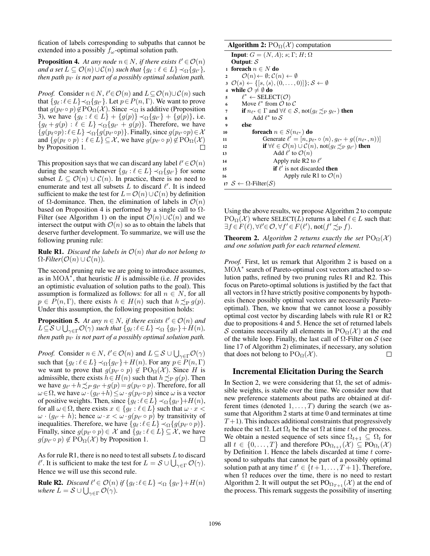fication of labels corresponding to subpaths that cannot be extended into a possibly  $f_{\omega}$ -optimal solution path.

**Proposition 4.** At any node  $n \in N$ , if there exists  $\ell' \in \mathcal{O}(n)$ and a set  $L \subseteq \mathcal{O}(n) \cup \mathcal{C}(n)$  such that  $\{g_\ell : \ell \in L\} \prec_{\Omega} \{g_{\ell'}\},$ *then path*  $p_{\ell'}$  *is not part of a possibly optimal solution path.* 

*Proof.* Consider  $n \in N$ ,  $\ell' \in \mathcal{O}(n)$  and  $L \subseteq \mathcal{O}(n) \cup \mathcal{C}(n)$  such that  $\{g_\ell : \ell \in L\} \prec_{\Omega} \{g_{\ell'}\}$ . Let  $p \in P(n, \Gamma)$ . We want to prove that  $g(p_{\ell'} \circ p) \notin \text{PO}_{\Omega}(\mathcal{X})$ . Since  $\prec_{\Omega}$  is additive (Proposition 3), we have  ${g_\ell : \ell \in L}$  +  ${g(p)} \prec_{\Omega} {g_{\ell'}}$  +  ${g(p)}$ , i.e.  ${g_{\ell} + g(p) : \ell \in L} \prec_{\Omega} {g_{\ell'} + g(p)}$ . Therefore, we have  ${g(p_\ell \circ p) : \ell \in L} \prec_{\Omega} {g(p_{\ell'} \circ p)}$ . Finally, since  $g(p_{\ell'} \circ p) \in \mathcal{X}$ and  $\{g(p_\ell \circ p) : \ell \in L\} \subseteq \mathcal{X}$ , we have  $g(p_{\ell'} \circ p) \notin \text{PO}_{\Omega}(\mathcal{X})$ by Proposition 1.  $\Box$ 

This proposition says that we can discard any label  $\ell' \in \mathcal{O}(n)$ during the search whenever  $\{g_\ell : \ell \in L\} \prec_{\Omega} \{g_{\ell'}\}$  for some subset  $L \subseteq \mathcal{O}(n) \cup \mathcal{C}(n)$ . In practice, there is no need to enumerate and test all subsets  $L$  to discard  $\ell'$ . It is indeed sufficient to make the test for  $L=O(n)\cup C(n)$  by definition of  $\Omega$ -dominance. Then, the elimination of labels in  $\mathcal{O}(n)$ based on Proposition 4 is performed by a single call to  $\Omega$ -Filter (see Algorithm 1) on the input  $\mathcal{O}(n) \cup \mathcal{C}(n)$  and we intersect the output with  $\mathcal{O}(n)$  so as to obtain the labels that deserve further development. To summarize, we will use the following pruning rule:

**Rule R1.** *Discard the labels in*  $\mathcal{O}(n)$  *that do not belong to*  $\Omega$ *-Filter*( $\mathcal{O}(n) \cup \mathcal{C}(n)$ ).

The second pruning rule we are going to introduce assumes, as in MOA $^*$ , that heuristic H is admissible (i.e. H provides an optimistic evaluation of solution paths to the goal). This assumption is formalized as follows: for all  $n \in N$ , for all  $p \in P(n, \Gamma)$ , there exists  $h \in H(n)$  such that  $h \preceq_{P} g(p)$ . Under this assumption, the following proposition holds:

**Proposition 5.** At any  $n \in N$ , if there exists  $\ell' \in \mathcal{O}(n)$  and  $L \subseteq S \cup \bigcup_{\gamma \in \Gamma} \mathcal{O}(\gamma)$  such that  $\{g_\ell : \ell \in L\} \prec_{\Omega} \{g_{\ell'}\} + H(n)$ , then path  $p_{\ell'}$  is not part of a possibly optimal solution path.

*Proof.* Consider  $n \in N$ ,  $\ell' \in \mathcal{O}(n)$  and  $L \subseteq \mathcal{S} \cup \bigcup_{\gamma \in \Gamma} \mathcal{O}(\gamma)$ such that  $\{g_\ell : \ell \in L\} \prec_{\Omega} \{g_{\ell'}\} + H(n)$ . For any  $p \in P(n, \Gamma)$ we want to prove that  $g(p_{\ell'} \circ p) \notin \text{PO}_{\Omega}(\mathcal{X})$ . Since H is admissible, there exists  $h \in H(n)$  such that  $h \preceq_{\mathrm{P}} g(p)$ . Then we have  $g_{\ell'} + h \preceq_P g_{\ell'} + g(p) = g(p_{\ell'} \circ p)$ . Therefore, for all  $\omega \in \Omega$ , we have  $\omega \cdot (g_{\ell'}+h) \leq \omega \cdot g(p_{\ell'} \circ p)$  since  $\omega$  is a vector of positive weights. Then, since  $\{g_\ell : \ell \in L\} \prec_{\Omega} \{g_{\ell'}\} + H(n)$ , for all  $\omega \in \Omega$ , there exists  $x \in \{g_\ell : \ell \in L\}$  such that  $\omega \cdot x$  <  $\omega \cdot (g_{\ell'} + h)$ ; hence  $\omega \cdot x < \omega \cdot g(p_{\ell'} \circ p)$  by transitivity of inequalities. Therefore, we have  $\{g_\ell : \ell \in L\} \prec_{\Omega} \{g(p_{\ell'} \circ p)\}.$ Finally, since  $g(p_{\ell'} \circ p) \in \mathcal{X}$  and  $\{g_{\ell} : \ell \in L\} \subseteq \mathcal{X}$ , we have  $g(p_{\ell'} \circ p) \notin \text{PO}_{\Omega}(\mathcal{X})$  by Proposition 1.

As for rule R1, there is no need to test all subsets  $L$  to discard  $\ell'$ . It is sufficient to make the test for  $L = \mathcal{S} \cup \bigcup_{\gamma \in \Gamma} \mathcal{O}(\gamma)$ . Hence we will use this second rule.

**Rule R2.** *Discard*  $\ell' \in \mathcal{O}(n)$  *if*  $\{g_{\ell} : \ell \in L\} \prec_{\Omega} \{g_{\ell'}\} + H(n)$ where  $L = \mathcal{S} \cup \bigcup_{\gamma \in \Gamma} \mathcal{O}(\gamma).$ 

| <b>Algorithm 2:</b> $PO_{\Omega}(\mathcal{X})$ computation                                                        |  |  |  |  |  |  |  |
|-------------------------------------------------------------------------------------------------------------------|--|--|--|--|--|--|--|
| <b>Input:</b> $G = (N, A)$ ; s; $\Gamma$ ; H; $\Omega$                                                            |  |  |  |  |  |  |  |
| Output: $S$                                                                                                       |  |  |  |  |  |  |  |
| 1 foreach $n \in N$ do                                                                                            |  |  |  |  |  |  |  |
| $\mathcal{O}(n) \leftarrow \emptyset$ : $\mathcal{C}(n) \leftarrow \emptyset$<br>$\overline{\mathbf{2}}$          |  |  |  |  |  |  |  |
| $3 \mathcal{O}(s) \leftarrow \{ [s, \langle s \rangle, (0, \ldots, 0)] \}; \mathcal{S} \leftarrow \emptyset$      |  |  |  |  |  |  |  |
| while $\mathcal{O} \neq \emptyset$ do                                                                             |  |  |  |  |  |  |  |
| $\ell^* \leftarrow$ SELECT $(\mathcal{O})$<br>5                                                                   |  |  |  |  |  |  |  |
| Move $\ell^*$ from $\mathcal O$ to $\mathcal C$<br>6                                                              |  |  |  |  |  |  |  |
| if $n_{\ell^*} \in \Gamma$ and $\forall \ell \in S$ , not( $q_{\ell} \preceq_{\mathbf{P}} q_{\ell^*}$ ) then<br>7 |  |  |  |  |  |  |  |
| Add $\ell^*$ to S<br>8                                                                                            |  |  |  |  |  |  |  |
| else<br>9                                                                                                         |  |  |  |  |  |  |  |
| foreach $n \in S(n_{\ell^*})$ do<br>10                                                                            |  |  |  |  |  |  |  |
| Generate $\ell' = [n, p_{\ell^*} \circ \langle n \rangle, q_{\ell^*} + g((n_{\ell^*}, n))]$<br>11                 |  |  |  |  |  |  |  |
| if $\forall \ell \in \mathcal{O}(n) \cup \mathcal{C}(n)$ , not $(g_{\ell} \preceq_{P} g_{\ell'})$ then<br>12      |  |  |  |  |  |  |  |
| Add $\ell'$ to $\mathcal{O}(n)$<br>13                                                                             |  |  |  |  |  |  |  |
| Apply rule R2 to $\ell'$<br>14                                                                                    |  |  |  |  |  |  |  |
| if $\ell'$ is not discarded then<br>15                                                                            |  |  |  |  |  |  |  |
| Apply rule R1 to $\mathcal{O}(n)$<br>16                                                                           |  |  |  |  |  |  |  |
| 17 S ← $\Omega$ -Filter(S)                                                                                        |  |  |  |  |  |  |  |

Using the above results, we propose Algorithm 2 to compute  $PO_{\Omega}(\mathcal{X})$  where SELECT(L) returns a label  $\ell \in L$  such that:  $\exists f \in F(\ell), \forall \ell' \in \mathcal{O}, \forall f' \in F(\ell'), \text{not}(f' \preceq_P f).$ 

**Theorem 2.** *Algorithm 2 returns exactly the set*  $PO_{\Omega}(\mathcal{X})$ *and one solution path for each returned element.*

*Proof.* First, let us remark that Algorithm 2 is based on a MOA<sup>\*</sup> search of Pareto-optimal cost vectors attached to solution paths, refined by two pruning rules R1 and R2. This focus on Pareto-optimal solutions is justified by the fact that all vectors in  $\Omega$  have strictly positive components by hypothesis (hence possibly optimal vectors are necessarily Paretooptimal). Then, we know that we cannot loose a possibly optimal cost vector by discarding labels with rule R1 or R2 due to propositions 4 and 5. Hence the set of returned labels S contains necessarily all elements in  $PO_{\Omega}(\mathcal{X})$  at the end of the while loop. Finally, the last call of  $\Omega$ -Filter on S (see line 17 of Algorithm 2) eliminates, if necessary, any solution that does not belong to  $PO_{\Omega}(\mathcal{X})$ .  $\Box$ 

## Incremental Elicitation During the Search

In Section 2, we were considering that  $\Omega$ , the set of admissible weights, is stable over the time. We consider now that new preference statements about paths are obtained at different times (denoted  $1, \ldots, T$ ) during the search (we assume that Algorithm 2 starts at time 0 and terminates at time  $T+1$ ). This induces additional constraints that progressively reduce the set  $\Omega$ . Let  $\Omega_t$  be the set  $\Omega$  at time t of the process. We obtain a nested sequence of sets since  $\Omega_{t+1} \subseteq \Omega_t$  for all  $t \in \{0, ..., T\}$  and therefore  $PO_{\Omega_{t+1}}(\mathcal{X}) \subseteq PO_{\Omega_{t}}(\mathcal{X})$ by Definition 1. Hence the labels discarded at time  $t$  correspond to subpaths that cannot be part of a possibly optimal solution path at any time  $t' \in \{t+1, \ldots, T+1\}$ . Therefore, when  $\Omega$  reduces over the time, there is no need to restart Algorithm 2. It will output the set  $PO_{\Omega_{T+1}}(\mathcal{X})$  at the end of the process. This remark suggests the possibility of inserting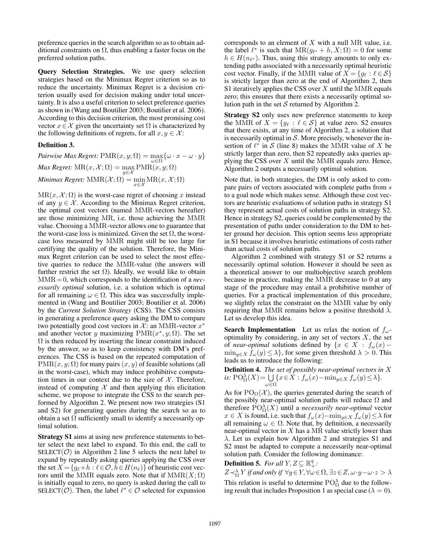preference queries in the search algorithm so as to obtain additional constraints on  $\Omega$ , thus enabling a faster focus on the preferred solution paths.

Query Selection Strategies. We use query selection strategies based on the Minimax Regret criterion so as to reduce the uncertainty. Minimax Regret is a decision criterion usually used for decision making under total uncertainty. It is also a useful criterion to select preference queries as shown in (Wang and Boutilier 2003; Boutilier et al. 2006). According to this decision criterion, the most promising cost vector  $x \in \mathcal{X}$  given the uncertainty set  $\Omega$  is characterized by the following definitions of regrets, for all  $x, y \in \mathcal{X}$ :

#### Definition 3.

*Pairwise Max Regret:*  $\text{PMR}(x, y; \Omega) = \max_{\omega \in \Omega} \{ \omega \cdot x - \omega \cdot y \}$  $\mathit{Max\,Regret: MR}(x, \mathcal{X}; \Omega) = \max_{y \in \mathcal{X}} \mathrm{PMR}(x, y; \Omega)$  $Minimax \, Regret: \, \text{MMR}(\mathcal{X}; \Omega) = \min_{x \in \mathcal{X}} \text{MR}(x, \mathcal{X}; \Omega)$ 

 $MR(x, \mathcal{X}; \Omega)$  is the worst-case regret of choosing x instead of any  $y \in \mathcal{X}$ . According to the Minimax Regret criterion, the optimal cost vectors (named MMR-vectors hereafter) are those minimizing MR, i.e. those achieving the MMR value. Choosing a MMR-vector allows one to guarantee that the worst-case loss is minimized. Given the set  $\Omega$ , the worstcase loss measured by MMR might still be too large for certifying the quality of the solution. Therefore, the Minimax Regret criterion can be used to select the most effective queries to reduce the MMR-value (the answers will further restrict the set  $\Omega$ ). Ideally, we would like to obtain MMR= 0, which corresponds to the identification of a *necessarily optimal* solution, i.e. a solution which is optimal for all remaining  $\omega \in \Omega$ . This idea was successfully implemented in (Wang and Boutilier 2003; Boutilier et al. 2006) by the *Current Solution Strategy* (CSS). The CSS consists in generating a preference query asking the DM to compare two potentially good cost vectors in  $\mathcal{X}$ : an MMR-vector  $x^*$ and another vector y maximizing  $\text{PMR}(x^*, y; \Omega)$ . The set  $\Omega$  is then reduced by inserting the linear constraint induced by the answer, so as to keep consistency with DM's preferences. The CSS is based on the repeated computation of  $PMR(x, y; \Omega)$  for many pairs  $(x, y)$  of feasible solutions (all in the worst-case), which may induce prohibitive computation times in our context due to the size of  $X$ . Therefore, instead of computing  $X$  and then applying this elicitation scheme, we propose to integrate the CSS to the search performed by Algorithm 2. We present now two strategies (S1 and S2) for generating queries during the search so as to obtain a set  $\Omega$  sufficiently small to identify a necessarily optimal solution.

Strategy S1 aims at using new preference statements to better select the next label to expand. To this end, the call to  $SELECT(\mathcal{O})$  in Algorithm 2 line 5 selects the next label to expand by repeatedly asking queries applying the CSS over the set  $X = \{g_\ell + h : \ell \in \mathcal{O}, h \in H(n_\ell)\}\$  of heuristic cost vectors until the MMR equals zero. Note that if  $MMR(X; \Omega)$ is initially equal to zero, no query is asked during the call to SELECT( $\mathcal{O}$ ). Then, the label  $\ell^* \in \mathcal{O}$  selected for expansion

corresponds to an element of  $X$  with a null MR value, i.e. the label  $\ell^*$  is such that  $MR(g_{\ell^*} + h, X; \Omega) = 0$  for some  $h \in H(n_{\ell^*})$ . Thus, using this strategy amounts to only extending paths associated with a necessarily optimal heuristic cost vector. Finally, if the MMR value of  $X = \{g_\ell : \ell \in S\}$ is strictly larger than zero at the end of Algorithm 2, then S1 iteratively applies the CSS over  $X$  until the MMR equals zero; this ensures that there exists a necessarily optimal solution path in the set  $S$  returned by Algorithm 2.

Strategy S2 only uses new preference statements to keep the MMR of  $X = \{g_\ell : \ell \in S\}$  at value zero. S2 ensures that there exists, at any time of Algorithm 2, a solution that is necessarily optimal in  $S$ . More precisely, whenever the insertion of  $\ell^*$  in S (line 8) makes the MMR value of X be strictly larger than zero, then S2 repeatedly asks queries applying the CSS over  $X$  until the MMR equals zero. Hence, Algorithm 2 outputs a necessarily optimal solution.

Note that, in both strategies, the DM is only asked to compare pairs of vectors associated with complete paths from s to a goal node which makes sense. Although these cost vectors are heuristic evaluations of solution paths in strategy S1 they represent actual costs of solution paths in strategy S2. Hence in strategy S2, queries could be complemented by the presentation of paths under consideration to the DM to better ground her decision. This option seems less appropriate in S1 because it involves heuristic estimations of costs rather than actual costs of solution paths.

Algorithm 2 combined with strategy S1 or S2 returns a necessarily optimal solution. However it should be seen as a theoretical answer to our multiobjective search problem because in practice, making the MMR decrease to 0 at any stage of the procedure may entail a prohibitive number of queries. For a practical implementation of this procedure, we slightly relax the constraint on the MMR value by only requiring that MMR remains below a positive threshold  $\lambda$ . Let us develop this idea.

**Search Implementation** Let us relax the notion of  $f_{\omega}$ optimality by considering, in any set of vectors  $X$ , the set of *near-optimal* solutions defined by  $\{x \in X : f_{\omega}(x) \min_{y \in X} f_{\omega}(y) \leq \lambda$ , for some given threshold  $\lambda > 0$ . This leads us to introduce the following:

Definition 4. *The set of possibly near-optimal vectors in* X *is:*  $\text{PO}_{\Omega}^{\lambda}(X) = \bigcup \{x \in X : f_{\omega}(x) - \min_{y \in X} f_{\omega}(y) \le \lambda\}.$ ω∈Ω

As for  $PO_{\Omega}(\mathcal{X})$ , the queries generated during the search of the possibly near-optimal solution paths will reduce  $\Omega$  and therefore  $PO_{\Omega}^{\lambda}(X)$  until a *necessarily near-optimal* vector  $x \in X$  is found, i.e. such that  $f_{\omega}(x) - \min_{y \in X} f_{\omega}(y) \leq \lambda$  for all remaining  $\omega \in \Omega$ . Note that, by definition, a necessarily near-optimal vector in  $X$  has a MR value strictly lower than  $\lambda$ . Let us explain how Algorithm 2 and strategies S1 and S2 must be adapted to compute a necessarily near-optimal solution path. Consider the following dominance:

# **Definition 5.** For all  $Y, Z \subseteq \mathbb{R}^q_+$ :

 $Z \prec_{\Omega}^{\lambda} Y$  *if and only if*  $\forall y \in Y, \forall \omega \in \Omega, \exists z \in Z, \omega \cdot y - \omega \cdot z > \lambda$ This relation is useful to determine  $PO^{\lambda}_{\Omega}$  due to the following result that includes Proposition 1 as special case ( $\lambda = 0$ ).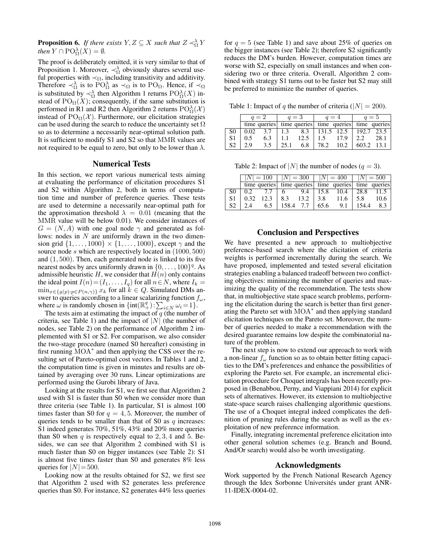**Proposition 6.** If there exists  $Y, Z \subseteq X$  such that  $Z \prec_{\Omega}^{\lambda} Y$ *then*  $Y \cap \mathrm{PO}_{\Omega}^{\lambda}(X) = \emptyset$ *.* 

The proof is deliberately omitted, it is very similar to that of Proposition 1. Moreover,  $\prec_{\Omega}^{\lambda}$  obviously shares several useful properties with  $\prec_{\Omega}$ , including transitivity and additivity. Therefore  $\prec_{\Omega}^{\lambda}$  is to PO<sub> $\Omega$ </sub> as  $\prec_{\Omega}$  is to PO<sub> $\Omega$ </sub>. Hence, if  $\prec_{\Omega}$ is substituted by  $\prec_{\Omega}^{\lambda}$  then Algorithm 1 returns  $\mathrm{PO}_{\Omega}^{\lambda}(X)$  instead of  $PO_{\Omega}(X)$ ; consequently, if the same substitution is performed in R1 and R2 then Algorithm 2 returns  $\text{PO}^{\lambda}_{\Omega}(\mathcal{X})$ instead of  $PO_{\Omega}(\mathcal{X})$ . Furthermore, our elicitation strategies can be used during the search to reduce the uncertainty set  $\Omega$ so as to determine a necessarily near-optimal solution path. It is sufficient to modify S1 and S2 so that MMR values are not required to be equal to zero, but only to be lower than  $\lambda$ .

## Numerical Tests

In this section, we report various numerical tests aiming at evaluating the performance of elicitation procedures S1 and S2 within Algorithm 2, both in terms of computation time and number of preference queries. These tests are used to determine a necessarily near-optimal path for the approximation threshold  $\lambda = 0.01$  (meaning that the MMR value will be below 0.01). We consider instances of  $G = (N, A)$  with one goal node  $\gamma$  and generated as follows: nodes in  $N$  are uniformly drawn in the two dimension grid  $\{1, \ldots, 1000\} \times \{1, \ldots, 1000\}$ , except  $\gamma$  and the source node s which are respectively located in  $(1000, 500)$ and (1, 500). Then, each generated node is linked to its five nearest nodes by arcs uniformly drawn in  $\{0, \ldots, 100\}^q$ . As admissible heuristic  $H$ , we consider that  $H(n)$  only contains the ideal point  $I(n) = (I_1, \ldots, I_q)$  for all  $n \in N$ , where  $I_k =$  $\min_{x \in \{g(p): p \in P(n,\gamma)\}} x_k$  for all  $k \in Q$ . Simulated DMs answer to queries according to a linear scalarizing function  $f_{\omega}$ , where  $\omega$  is randomly chosen in  $\{\text{int}(\mathbb{R}^q_+) : \sum_{i \in N} \omega_i = 1\}$ .

The tests aim at estimating the impact of  $q$  (the number of criteria, see Table 1) and the impact of  $|N|$  (the number of nodes, see Table 2) on the performance of Algorithm 2 implemented with S1 or S2. For comparison, we also consider the two-stage procedure (named S0 hereafter) consisting in first running MOA<sup>\*</sup> and then applying the CSS over the resulting set of Pareto-optimal cost vectors. In Tables 1 and 2, the computation time is given in minutes and results are obtained by averaging over 30 runs. Linear optimizations are performed using the Gurobi library of Java.

Looking at the results for S1, we first see that Algorithm 2 used with S1 is faster than S0 when we consider more than three criteria (see Table 1). In particular, S1 is almost 100 times faster than S0 for  $q = 4, 5$ . Moreover, the number of queries tends to be smaller than that of S0 as  $q$  increases: S1 indeed generates 70%, 51%, 43% and 20% more queries than S0 when  $q$  is respectively equal to 2, 3, 4 and 5. Besides, we can see that Algorithm 2 combined with S1 is much faster than S0 on bigger instances (see Table 2): S1 is almost five times faster than S0 and generates 8% less queries for  $|N|=500$ .

Looking now at the results obtained for S2, we first see that Algorithm 2 used with S2 generates less preference queries than S0. For instance, S2 generates 44% less queries

for  $q = 5$  (see Table 1) and save about 25% of queries on the bigger instances (see Table 2); therefore S2 significantly reduces the DM's burden. However, computation times are worse with S2, especially on small instances and when considering two or three criteria. Overall, Algorithm 2 combined with strategy S1 turns out to be faster but S2 may still be preferred to minimize the number of queries.

Table 1: Impact of q the number of criteria ( $|N| = 200$ ).

|              | $q=2$ |               | $q=3$       |      | $q=4$                                               |                    | $q=5$ |            |
|--------------|-------|---------------|-------------|------|-----------------------------------------------------|--------------------|-------|------------|
|              |       |               |             |      | time queries time queries time queries time queries |                    |       |            |
| S0           | 0.02  | 3.7           | $\perp$ 1.3 |      |                                                     | $8.3$   131.5 12.5 |       | 192.7 23.5 |
| S1           | 0.5   | 6.3           |             | 12.5 | $\perp$ 1.5                                         | 17.9               |       | 28.1       |
| $\mathbf{S}$ | 29    | $3.5^{\circ}$ | 25.1        | 6.8  | 78.2                                                | 10.2               | 603.2 | 13.1       |

Table 2: Impact of |N| the number of nodes ( $q = 3$ ).

|                |                  |      | $ N  = 100$   $ N  = 300$   $ N  = 400$ |      |      |                                                     | $ N  = 500$ |      |
|----------------|------------------|------|-----------------------------------------|------|------|-----------------------------------------------------|-------------|------|
|                |                  |      |                                         |      |      | time queries time queries time queries time queries |             |      |
|                | 0.2 <sub>z</sub> |      |                                         | 9.4  | 15.8 | $10.4$   28.8                                       |             | 11.5 |
| S1             | 0.32             | 12.3 | 8.3                                     | 13.2 | 3.8  | 11.6                                                | 5.8         | 10.6 |
| S <sub>2</sub> | 24               | 6.5  | 158.4                                   | 7.7  | 65.6 | 9.1                                                 | 154.4       | 8.3  |

#### Conclusion and Perspectives

We have presented a new approach to multiobjective preference-based search where the elicitation of criteria weights is performed incrementally during the search. We have proposed, implemented and tested several elicitation strategies enabling a balanced tradeoff between two conflicting objectives: minimizing the number of queries and maximizing the quality of the recommendation. The tests show that, in multiobjective state space search problems, performing the elicitation during the search is better than first generating the Pareto set with MOA<sup>∗</sup> and then applying standard elicitation techniques on the Pareto set. Moreover, the number of queries needed to make a recommendation with the desired guarantee remains low despite the combinatorial nature of the problem.

The next step is now to extend our approach to work with a non-linear  $f_{\omega}$  function so as to obtain better fitting capacities to the DM's preferences and enhance the possibilities of exploring the Pareto set. For example, an incremental elicitation procedure for Choquet integrals has been recently proposed in (Benabbou, Perny, and Viappiani 2014) for explicit sets of alternatives. However, its extension to multiobjective state-space search raises challenging algorithmic questions. The use of a Choquet integral indeed complicates the definition of pruning rules during the search as well as the exploitation of new preference information.

Finally, integrating incremental preference elicitation into other general solution schemes (e.g. Branch and Bound, And/Or search) would also be worth investigating.

## Acknowledgments

Work supported by the French National Research Agency through the Idex Sorbonne Universités under grant ANR-11-IDEX-0004-02.